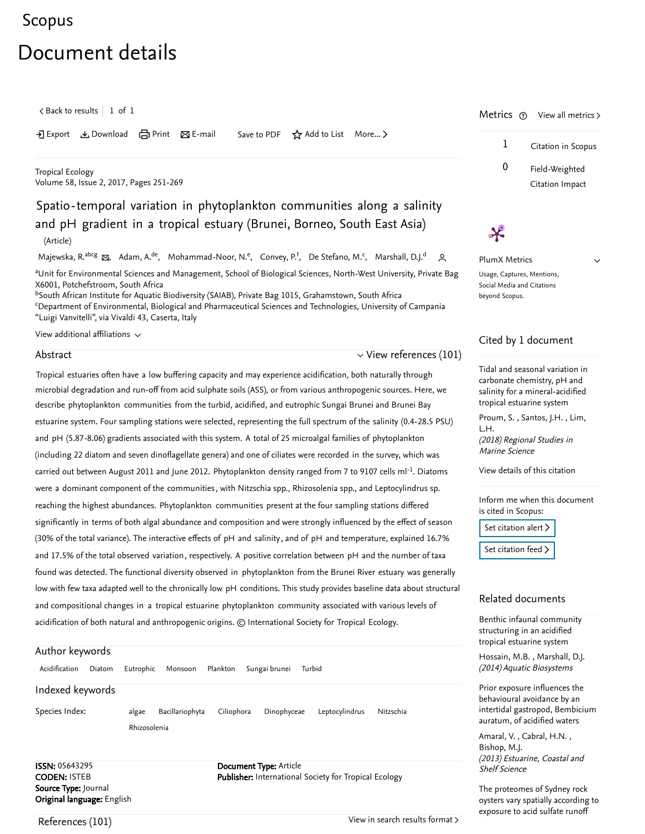# <span id="page-0-2"></span>[Scopus](https://www.scopus.com/home.uri?zone=header&origin=searchbasic)

# Document details

 $\zeta$  [Back to results](https://www.scopus.com/results/results.uri?sort=plf-f&src=s&st1=Spatio-temporal+variation+in+phytoplankton+communities+along+a+salinity+and+pH+gradient+in+a+tropical+estuary&st2=&sid=63391634d9060a0a641bd490f9d41980&sot=b&sdt=b&sl=124&s=TITLE-ABS-KEY%28Spatio-temporal+variation+in+phytoplankton+communities+along+a+salinity+and+pH+gradient+in+a+tropical+estuary%29&offset=1&origin=recordpage)  $\vert$  1 of 1

→ Export & Download d Print ⊠ E-mail Save to PDF ☆ Add to List More... >

[Tropical Ecology](https://www.scopus.com/sourceid/17819?origin=recordpage) Volume 58, Issue 2, 2017, Pages 251-269

# Spatio-temporal variation in phytoplankton communities along a salinity and pH gradient in a tropical estuary (Brunei, Borneo, South East Asia) (Article)

[Majewska, R.](https://www.scopus.com/authid/detail.uri?authorId=54896961900&eid=2-s2.0-85028356158)<sup>abcg</sup>  $\boxtimes$ , [Adam, A.](https://www.scopus.com/authid/detail.uri?authorId=39860980600&eid=2-s2.0-85028356158)<sup>de</sup>, [Mohammad-Noor, N.](https://www.scopus.com/authid/detail.uri?authorId=16031722900&eid=2-s2.0-85028356158)<sup>e</sup>, [Convey, P.](https://www.scopus.com/authid/detail.uri?authorId=7003362070&eid=2-s2.0-85028356158)<sup>f</sup>, [De Stefano, M.](https://www.scopus.com/authid/detail.uri?authorId=16425540300&eid=2-s2.0-85028356158)<sup>c</sup>, [Marshall, D.J.](https://www.scopus.com/authid/detail.uri?authorId=7402186519&eid=2-s2.0-85028356158)<sup>d</sup> Q

aUnit for Environmental Sciences and Management, School of Biological Sciences, North-West University, Private Bag X6001, Potchefstroom, South Africa

 $^{\rm b}$ South African Institute for Aquatic Biodiversity (SAIAB), Private Bag 1015, Grahamstown, South Africa <sup>c</sup>Department of Environmental, Biological and Pharmaceutical Sciences and Technologies, University of Campania "Luigi Vanvitelli", via Vivaldi 43, Caserta, Italy

View additional affiliations  $\sim$ 

#### Abstract

 $\vee$  [View references \(101\)](#page-0-0)

Tropical estuaries often have a low buffering capacity and may experience acidification, both naturally through microbial degradation and run-off from acid sulphate soils (ASS), or from various anthropogenic sources. Here, we describe phytoplankton communities from the turbid, acidified, and eutrophic Sungai Brunei and Brunei Bay estuarine system. Four sampling stations were selected, representing the full spectrum of the salinity (0.4-28.5 PSU) and pH (5.87-8.06) gradients associated with this system. A total of 25 microalgal families of phytoplankton (including 22 diatom and seven dinoflagellate genera) and one of ciliates were recorded in the survey, which was carried out between August 2011 and June 2012. Phytoplankton density ranged from 7 to 9107 cells ml<sup>-1</sup>. Diatoms were a dominant component of the communities , with Nitzschia spp., Rhizosolenia spp., and Leptocylindrus sp. reaching the highest abundances. Phytoplankton communities present at the four sampling stations differed significantly in terms of both algal abundance and composition and were strongly influenced by the effect of season (30% of the total variance). The interactive effects of pH and salinity, and of pH and temperature, explained 16.7% and 17.5% of the total observed variation, respectively. A positive correlation between pH and the number of taxa found was detected. The functional diversity observed in phytoplankton from the Brunei River estuary was generally low with few taxa adapted well to the chronically low pH conditions. This study provides baseline data about structural and compositional changes in a tropical estuarine phytoplankton community associated with various levels of

acidification of both natural and anthropogenic origins. © International Society for Tropical Ecology.

## Author keywords

| Acidification    | Diatom | Eutrophic    | Monsoon         | Plankton   | Sungai brunei | Turbid |                |           |
|------------------|--------|--------------|-----------------|------------|---------------|--------|----------------|-----------|
| Indexed keywords |        |              |                 |            |               |        |                |           |
| Species Index:   |        | algae        | Bacillariophyta | Ciliophora | Dinophyceae   |        | Leptocylindrus | Nitzschia |
|                  |        | Rhizosolenia |                 |            |               |        |                |           |
|                  |        |              |                 |            |               |        |                |           |

ISSN: 05643295 CODEN: ISTEB Source Type: Journal Original language: English Document Type: Article Publisher: International Society for Tropical Ecology





 $\checkmark$ 

<span id="page-0-1"></span>PlumX Metrics Usage, Captures, Mentions, Social Media and Citations beyond Scopus.

 $\boldsymbol{\chi}$ 

#### Cited by 1 document

[Tidal and seasonal variation in](https://www.scopus.com/record/display.uri?origin=citedby&eid=2-s2.0-85036542334&citeCnt=1&noHighlight=false&sort=plf-f&src=s&st1=Spatio-temporal+variation+in+phytoplankton+communities+along+a+salinity+and+pH+gradient+in+a+tropical+estuary&st2=&sid=63391634d9060a0a641bd490f9d41980&sot=b&sdt=b&sl=124&s=TITLE-ABS-KEY%28Spatio-temporal+variation+in+phytoplankton+communities+along+a+salinity+and+pH+gradient+in+a+tropical+estuary%29&relpos=0) carbonate chemistry, pH and salinity for a mineral-acidified tropical estuarine system

[Proum, S.](https://www.scopus.com/authid/detail.uri?origin=citedby&authorId=57193846944&zone=), Santos, J.H., Lim, (2018) Regional Studies in Marine Science L.H.

[View details of this citation](https://www.scopus.com/search/submit/citedby.uri?eid=2-s2.0-85028356158&src=s&origin=recordpage)

Inform me when this document is cited in Scopus:

[Set citation alert](https://www.scopus.com/alert/form/document.uri?eid=2-s2.0-85028356158&ATP=document&discoveryEngineID=scopusdoccite&discoveryEventID=NEW&mode=C&AID=NEW&origin=recordpage&view=extended)  $\triangleright$ 

[Set citation feed](https://www.scopus.com/results/rss/handler.uri?citeEid=2-s2.0-85028356158) >

## Related documents

[Benthic infaunal community](https://www.scopus.com/record/display.uri?origin=recordpage&zone=relatedDocuments&eid=2-s2.0-84920832155&citeCnt=1&noHighlight=false&sort=plf-f&src=s&st1=Spatio-temporal+variation+in+phytoplankton+communities+along+a+salinity+and+pH+gradient+in+a+tropical+estuary&st2=&sid=63391634d9060a0a641bd490f9d41980&sot=b&sdt=b&sl=124&s=TITLE-ABS-KEY%28Spatio-temporal+variation+in+phytoplankton+communities+along+a+salinity+and+pH+gradient+in+a+tropical+estuary%29&relpos=0) structuring in an acidified tropical estuarine system

, [Hossain, M.B.](https://www.scopus.com/authid/detail.uri?origin=recordpage&authorId=54987254000&zone=relatedDocuments) [Marshall, D.J.](https://www.scopus.com/authid/detail.uri?origin=recordpage&authorId=7402186519&zone=relatedDocuments) (2014) Aquatic Biosystems

Prior exposure influences the behavioural avoidance by an [intertidal gastropod, Bembicium](https://www.scopus.com/record/display.uri?origin=recordpage&zone=relatedDocuments&eid=2-s2.0-84900519369&citeCnt=1&noHighlight=false&sort=plf-f&src=s&st1=Spatio-temporal+variation+in+phytoplankton+communities+along+a+salinity+and+pH+gradient+in+a+tropical+estuary&st2=&sid=63391634d9060a0a641bd490f9d41980&sot=b&sdt=b&sl=124&s=TITLE-ABS-KEY%28Spatio-temporal+variation+in+phytoplankton+communities+along+a+salinity+and+pH+gradient+in+a+tropical+estuary%29&relpos=1) auratum, of acidified waters

,, [Amaral, V.](https://www.scopus.com/authid/detail.uri?origin=recordpage&authorId=16302975800&zone=relatedDocuments) Cabral, H.N. (2013) Estuarine, Coastal and Shelf Science [Bishop, M.J.](https://www.scopus.com/authid/detail.uri?origin=recordpage&authorId=8964422900&zone=relatedDocuments)

The proteomes of Sydney rock [oysters vary spatially according to](https://www.scopus.com/record/display.uri?origin=recordpage&zone=relatedDocuments&eid=2-s2.0-84859479170&citeCnt=1&noHighlight=false&sort=plf-f&src=s&st1=Spatio-temporal+variation+in+phytoplankton+communities+along+a+salinity+and+pH+gradient+in+a+tropical+estuary&st2=&sid=63391634d9060a0a641bd490f9d41980&sot=b&sdt=b&sl=124&s=TITLE-ABS-KEY%28Spatio-temporal+variation+in+phytoplankton+communities+along+a+salinity+and+pH+gradient+in+a+tropical+estuary%29&relpos=2) exposure to acid sulfate runoff

<span id="page-0-0"></span>References (101)

[View in search results format](https://www.scopus.com/search/submit/references.uri?sort=plf-f&src=r&imp=t&sid=d095958c14800d439b545f49bfacf3aa&sot=rec&sdt=citedreferences&sl=23&s=EID%282-s2.0-85028356158%29&origin=recordpage&citeCnt=1&citingId=2-s2.0-85028356158) >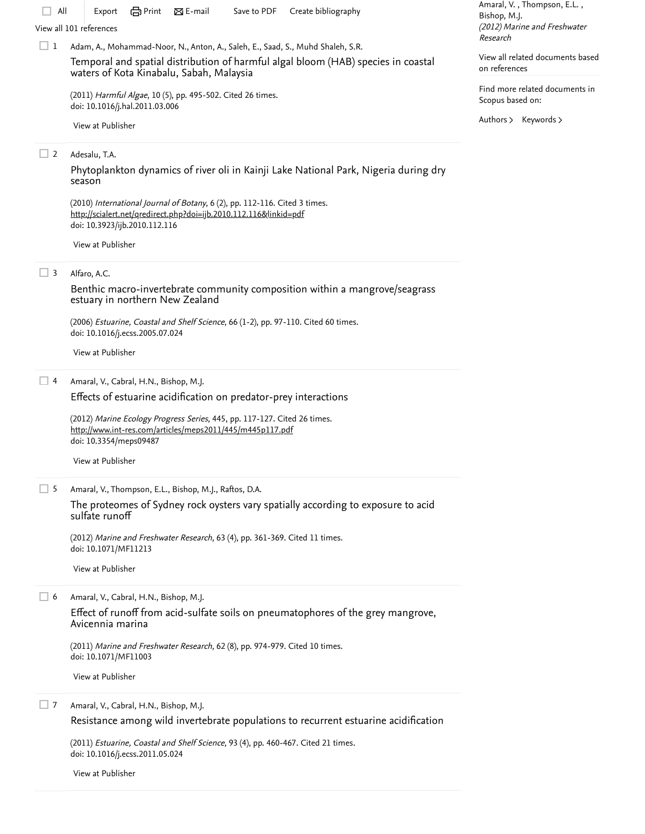| All        | Create bibliography<br>Save to PDF<br>Export<br>View all 101 references                                                                                                                                         | Amaral, V., Thompson, E.L.,<br>Bishop, M.J.<br>(2012) Marine and Freshwater |  |  |
|------------|-----------------------------------------------------------------------------------------------------------------------------------------------------------------------------------------------------------------|-----------------------------------------------------------------------------|--|--|
| $\sqcup$ 1 | Adam, A., Mohammad-Noor, N., Anton, A., Saleh, E., Saad, S., Muhd Shaleh, S.R.<br>Temporal and spatial distribution of harmful algal bloom (HAB) species in coastal<br>waters of Kota Kinabalu, Sabah, Malaysia | Research<br>View all related documents based<br>on references               |  |  |
|            | (2011) Harmful Algae, 10 (5), pp. 495-502. Cited 26 times.<br>doi: 10.1016/j.hal.2011.03.006                                                                                                                    | Find more related documents in<br>Scopus based on:                          |  |  |
|            | View at Publisher                                                                                                                                                                                               | Authors > Keywords >                                                        |  |  |
| 2          | Adesalu, T.A.<br>Phytoplankton dynamics of river oli in Kainji Lake National Park, Nigeria during dry<br>season                                                                                                 |                                                                             |  |  |
|            | (2010) International Journal of Botany, 6 (2), pp. 112-116. Cited 3 times.<br>http://scialert.net/qredirect.php?doi=ijb.2010.112.116&linkid=pdf<br>doi: 10.3923/ijb.2010.112.116                                |                                                                             |  |  |
|            | View at Publisher                                                                                                                                                                                               |                                                                             |  |  |
| $\Box$ 3   | Alfaro, A.C.<br>Benthic macro-invertebrate community composition within a mangrove/seagrass<br>estuary in northern New Zealand                                                                                  |                                                                             |  |  |
|            | (2006) Estuarine, Coastal and Shelf Science, 66 (1-2), pp. 97-110. Cited 60 times.<br>doi: 10.1016/j.ecss.2005.07.024                                                                                           |                                                                             |  |  |
|            | View at Publisher                                                                                                                                                                                               |                                                                             |  |  |
| □ 4        | Amaral, V., Cabral, H.N., Bishop, M.J.<br>Effects of estuarine acidification on predator-prey interactions                                                                                                      |                                                                             |  |  |
|            | (2012) Marine Ecology Progress Series, 445, pp. 117-127. Cited 26 times.<br>http://www.int-res.com/articles/meps2011/445/m445p117.pdf<br>doi: 10.3354/meps09487                                                 |                                                                             |  |  |
|            | View at Publisher                                                                                                                                                                                               |                                                                             |  |  |
| $\Box$ 5   | Amaral, V., Thompson, E.L., Bishop, M.J., Raftos, D.A.                                                                                                                                                          |                                                                             |  |  |
|            | The proteomes of Sydney rock oysters vary spatially according to exposure to acid<br>sulfate runoff                                                                                                             |                                                                             |  |  |
|            | (2012) Marine and Freshwater Research, 63 (4), pp. 361-369. Cited 11 times.<br>doi: 10.1071/MF11213                                                                                                             |                                                                             |  |  |
|            | View at Publisher                                                                                                                                                                                               |                                                                             |  |  |
| $\Box$ 6   | Amaral, V., Cabral, H.N., Bishop, M.J.<br>Effect of runoff from acid-sulfate soils on pneumatophores of the grey mangrove,<br>Avicennia marina                                                                  |                                                                             |  |  |
|            | (2011) Marine and Freshwater Research, 62 (8), pp. 974-979. Cited 10 times.<br>doi: 10.1071/MF11003                                                                                                             |                                                                             |  |  |
|            | View at Publisher                                                                                                                                                                                               |                                                                             |  |  |
| $\Box$ 7   | Amaral, V., Cabral, H.N., Bishop, M.J.<br>Resistance among wild invertebrate populations to recurrent estuarine acidification                                                                                   |                                                                             |  |  |
|            | (2011) Estuarine, Coastal and Shelf Science, 93 (4), pp. 460-467. Cited 21 times.<br>doi: 10.1016/j.ecss.2011.05.024                                                                                            |                                                                             |  |  |
|            | View at Publisher                                                                                                                                                                                               |                                                                             |  |  |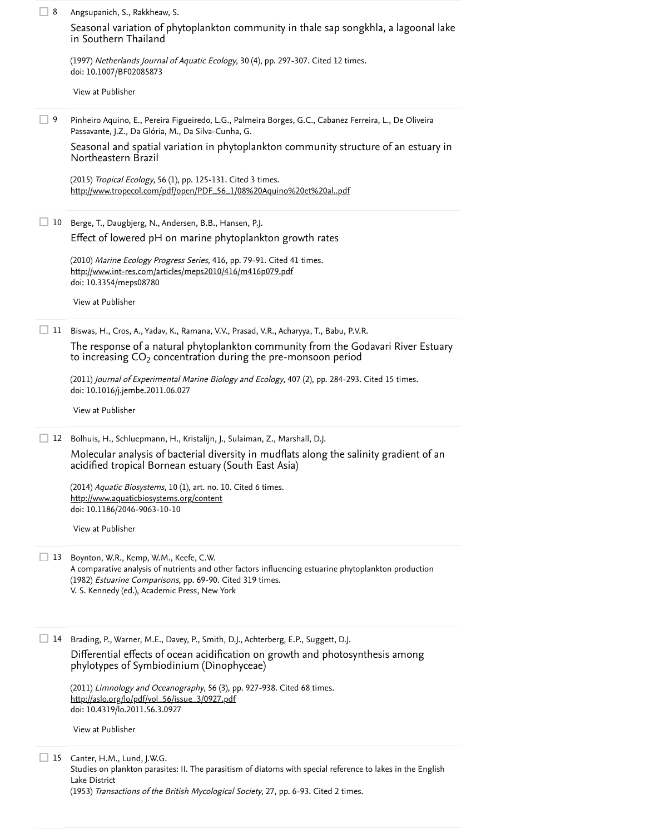| 8   | Angsupanich, S., Rakkheaw, S.                                                                                                                                                                                                                                |
|-----|--------------------------------------------------------------------------------------------------------------------------------------------------------------------------------------------------------------------------------------------------------------|
|     | Seasonal variation of phytoplankton community in thale sap songkhla, a lagoonal lake<br>in Southern Thailand                                                                                                                                                 |
|     | (1997) Netherlands Journal of Aquatic Ecology, 30 (4), pp. 297-307. Cited 12 times.<br>doi: 10.1007/BF02085873                                                                                                                                               |
|     | View at Publisher                                                                                                                                                                                                                                            |
| 9 ⊑ | Pinheiro Aquino, E., Pereira Figueiredo, L.G., Palmeira Borges, G.C., Cabanez Ferreira, L., De Oliveira<br>Passavante, J.Z., Da Glória, M., Da Silva-Cunha, G.                                                                                               |
|     | Seasonal and spatial variation in phytoplankton community structure of an estuary in<br>Northeastern Brazil                                                                                                                                                  |
|     | (2015) Tropical Ecology, 56 (1), pp. 125-131. Cited 3 times.<br>http://www.tropecol.com/pdf/open/PDF_56_1/08%20Aquino%20et%20alpdf                                                                                                                           |
| 10  | Berge, T., Daugbjerg, N., Andersen, B.B., Hansen, P.J.                                                                                                                                                                                                       |
|     | Effect of lowered pH on marine phytoplankton growth rates                                                                                                                                                                                                    |
|     | (2010) Marine Ecology Progress Series, 416, pp. 79-91. Cited 41 times.<br>http://www.int-res.com/articles/meps2010/416/m416p079.pdf<br>doi: 10.3354/meps08780                                                                                                |
|     | View at Publisher                                                                                                                                                                                                                                            |
|     | 11 Biswas, H., Cros, A., Yadav, K., Ramana, V.V., Prasad, V.R., Acharyya, T., Babu, P.V.R.                                                                                                                                                                   |
|     | The response of a natural phytoplankton community from the Godavari River Estuary<br>to increasing $CO2$ concentration during the pre-monsoon period                                                                                                         |
|     | (2011) Journal of Experimental Marine Biology and Ecology, 407 (2), pp. 284-293. Cited 15 times.<br>doi: 10.1016/j.jembe.2011.06.027                                                                                                                         |
|     | View at Publisher                                                                                                                                                                                                                                            |
| 12  | Bolhuis, H., Schluepmann, H., Kristalijn, J., Sulaiman, Z., Marshall, D.J.                                                                                                                                                                                   |
|     | Molecular analysis of bacterial diversity in mudflats along the salinity gradient of an<br>acidified tropical Bornean estuary (South East Asia)                                                                                                              |
|     | (2014) Aquatic Biosystems, 10 (1), art. no. 10. Cited 6 times.<br>http://www.aquaticbiosystems.org/content                                                                                                                                                   |
|     | doi: 10.1186/2046-9063-10-10                                                                                                                                                                                                                                 |
|     | View at Publisher                                                                                                                                                                                                                                            |
| 13  | Boynton, W.R., Kemp, W.M., Keefe, C.W.<br>A comparative analysis of nutrients and other factors influencing estuarine phytoplankton production<br>(1982) Estuarine Comparisons, pp. 69-90. Cited 319 times.<br>V. S. Kennedy (ed.), Academic Press, New York |
| 14  | Brading, P., Warner, M.E., Davey, P., Smith, D.J., Achterberg, E.P., Suggett, D.J.                                                                                                                                                                           |
|     |                                                                                                                                                                                                                                                              |
|     | Differential effects of ocean acidification on growth and photosynthesis among<br>phylotypes of Symbiodinium (Dinophyceae)                                                                                                                                   |
|     | (2011) Limnology and Oceanography, 56 (3), pp. 927-938. Cited 68 times.<br>http://aslo.org/lo/pdf/vol_56/issue_3/0927.pdf<br>doi: 10.4319/lo.2011.56.3.0927                                                                                                  |
|     | View at Publisher                                                                                                                                                                                                                                            |
| 15  | Canter, H.M., Lund, J.W.G.<br>Studies on plankton parasites: II. The parasitism of diatoms with special reference to lakes in the English<br>Lake District                                                                                                   |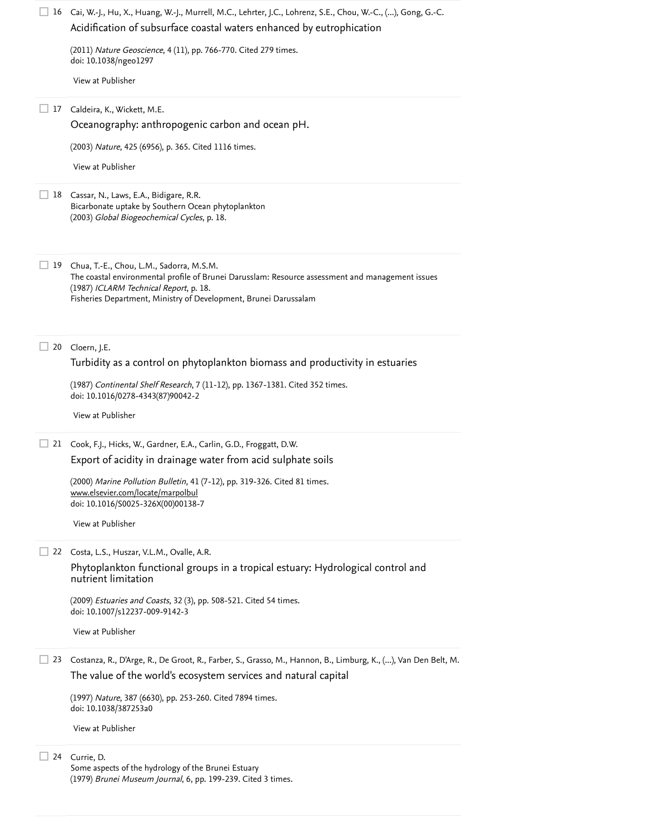|           | □ 16 Cai, W.-J., Hu, X., Huang, W.-J., Murrell, M.C., Lehrter, J.C., Lohrenz, S.E., Chou, W.-C., (), Gong, G.-C.<br>Acidification of subsurface coastal waters enhanced by eutrophication                                                                  |
|-----------|------------------------------------------------------------------------------------------------------------------------------------------------------------------------------------------------------------------------------------------------------------|
|           | (2011) Nature Geoscience, 4 (11), pp. 766-770. Cited 279 times.<br>doi: 10.1038/ngeo1297                                                                                                                                                                   |
|           | View at Publisher                                                                                                                                                                                                                                          |
| 17<br>ப   | Caldeira, K., Wickett, M.E.                                                                                                                                                                                                                                |
|           | Oceanography: anthropogenic carbon and ocean pH.                                                                                                                                                                                                           |
|           | (2003) Nature, 425 (6956), p. 365. Cited 1116 times.                                                                                                                                                                                                       |
|           | View at Publisher                                                                                                                                                                                                                                          |
|           | 18 Cassar, N., Laws, E.A., Bidigare, R.R.<br>Bicarbonate uptake by Southern Ocean phytoplankton<br>(2003) Global Biogeochemical Cycles, p. 18.                                                                                                             |
| $\Box$ 19 | Chua, T.-E., Chou, L.M., Sadorra, M.S.M.<br>The coastal environmental profile of Brunei Darusslam: Resource assessment and management issues<br>(1987) ICLARM Technical Report, p. 18.<br>Fisheries Department, Ministry of Development, Brunei Darussalam |
| ш<br>20   | Cloern, J.E.                                                                                                                                                                                                                                               |
|           | Turbidity as a control on phytoplankton biomass and productivity in estuaries                                                                                                                                                                              |
|           | (1987) Continental Shelf Research, 7 (11-12), pp. 1367-1381. Cited 352 times.<br>doi: 10.1016/0278-4343(87)90042-2                                                                                                                                         |
|           | View at Publisher                                                                                                                                                                                                                                          |
| ப         | 21 Cook, F.J., Hicks, W., Gardner, E.A., Carlin, G.D., Froggatt, D.W.                                                                                                                                                                                      |
|           | Export of acidity in drainage water from acid sulphate soils                                                                                                                                                                                               |
|           | (2000) Marine Pollution Bulletin, 41 (7-12), pp. 319-326. Cited 81 times.<br>www.elsevier.com/locate/marpolbul<br>doi: 10.1016/S0025-326X(00)00138-7                                                                                                       |
|           | View at Publisher                                                                                                                                                                                                                                          |
|           | 22 Costa, L.S., Huszar, V.L.M., Ovalle, A.R.                                                                                                                                                                                                               |
|           | Phytoplankton functional groups in a tropical estuary: Hydrological control and<br>nutrient limitation                                                                                                                                                     |
|           | (2009) Estuaries and Coasts, 32 (3), pp. 508-521. Cited 54 times.<br>doi: 10.1007/s12237-009-9142-3                                                                                                                                                        |
|           | View at Publisher                                                                                                                                                                                                                                          |
| $\Box$ 23 | Costanza, R., D'Arge, R., De Groot, R., Farber, S., Grasso, M., Hannon, B., Limburg, K., (), Van Den Belt, M.                                                                                                                                              |
|           | The value of the world's ecosystem services and natural capital                                                                                                                                                                                            |
|           | (1997) Nature, 387 (6630), pp. 253-260. Cited 7894 times.<br>doi: 10.1038/387253a0                                                                                                                                                                         |
|           | View at Publisher                                                                                                                                                                                                                                          |
| 24        | Currie, D.<br>Some aspects of the hydrology of the Brunei Estuary                                                                                                                                                                                          |

(1979) *Brunei Museum Journal*, 6, pp. 199-239. [Cited 3 times](https://www.scopus.com/search/submit/citedby.uri?eid=2-s2.0-85028356158&refeid=2-s2.0-84982772510&src=s&origin=reflist&refstat=dummy).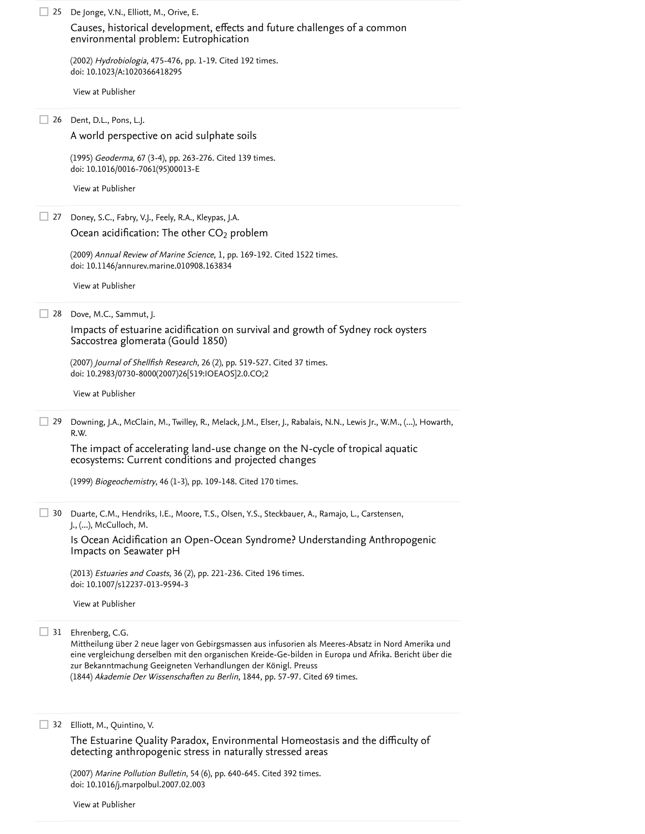| 25 | De Jonge, V.N., Elliott, M., Orive, E.<br>Causes, historical development, effects and future challenges of a common<br>environmental problem: Eutrophication                                                                                                                                                                                                                           |
|----|----------------------------------------------------------------------------------------------------------------------------------------------------------------------------------------------------------------------------------------------------------------------------------------------------------------------------------------------------------------------------------------|
|    | (2002) Hydrobiologia, 475-476, pp. 1-19. Cited 192 times.<br>doi: 10.1023/A:1020366418295                                                                                                                                                                                                                                                                                              |
|    | View at Publisher                                                                                                                                                                                                                                                                                                                                                                      |
|    | 26 Dent, D.L., Pons, L.J.                                                                                                                                                                                                                                                                                                                                                              |
|    | A world perspective on acid sulphate soils                                                                                                                                                                                                                                                                                                                                             |
|    | (1995) Geoderma, 67 (3-4), pp. 263-276. Cited 139 times.<br>doi: 10.1016/0016-7061(95)00013-E                                                                                                                                                                                                                                                                                          |
|    | View at Publisher                                                                                                                                                                                                                                                                                                                                                                      |
| 27 | Doney, S.C., Fabry, V.J., Feely, R.A., Kleypas, J.A.                                                                                                                                                                                                                                                                                                                                   |
|    | Ocean acidification: The other CO <sub>2</sub> problem                                                                                                                                                                                                                                                                                                                                 |
|    | (2009) Annual Review of Marine Science, 1, pp. 169-192. Cited 1522 times.<br>doi: 10.1146/annurev.marine.010908.163834                                                                                                                                                                                                                                                                 |
|    | View at Publisher                                                                                                                                                                                                                                                                                                                                                                      |
| 28 | Dove, M.C., Sammut, J.                                                                                                                                                                                                                                                                                                                                                                 |
|    | Impacts of estuarine acidification on survival and growth of Sydney rock oysters<br>Saccostrea glomerata (Gould 1850)                                                                                                                                                                                                                                                                  |
|    | (2007) Journal of Shellfish Research, 26 (2), pp. 519-527. Cited 37 times.<br>doi: 10.2983/0730-8000(2007)26[519:IOEAOS]2.0.CO;2                                                                                                                                                                                                                                                       |
|    | View at Publisher                                                                                                                                                                                                                                                                                                                                                                      |
| 29 | Downing, J.A., McClain, M., Twilley, R., Melack, J.M., Elser, J., Rabalais, N.N., Lewis Jr., W.M., (), Howarth,                                                                                                                                                                                                                                                                        |
|    | R.W.                                                                                                                                                                                                                                                                                                                                                                                   |
|    | The impact of accelerating land-use change on the N-cycle of tropical aquatic<br>ecosystems: Current conditions and projected changes                                                                                                                                                                                                                                                  |
|    | (1999) Biogeochemistry, 46 (1-3), pp. 109-148. Cited 170 times.                                                                                                                                                                                                                                                                                                                        |
| 30 | Duarte, C.M., Hendriks, I.E., Moore, T.S., Olsen, Y.S., Steckbauer, A., Ramajo, L., Carstensen,                                                                                                                                                                                                                                                                                        |
|    | J., (), McCulloch, M.<br>Is Ocean Acidification an Open-Ocean Syndrome? Understanding Anthropogenic<br>Impacts on Seawater pH                                                                                                                                                                                                                                                          |
|    | (2013) <i>Estuaries and Coasts</i> , 36 (2), pp. 221-236. Cited 196 times.                                                                                                                                                                                                                                                                                                             |
|    | doi: 10.1007/s12237-013-9594-3                                                                                                                                                                                                                                                                                                                                                         |
|    | View at Publisher                                                                                                                                                                                                                                                                                                                                                                      |
| 31 | Ehrenberg, C.G.<br>Mittheilung über 2 neue lager von Gebirgsmassen aus infusorien als Meeres-Absatz in Nord Amerika und<br>eine vergleichung derselben mit den organischen Kreide-Ge-bilden in Europa und Afrika. Bericht über die<br>zur Bekanntmachung Geeigneten Verhandlungen der Königl. Preuss<br>(1844) Akademie Der Wissenschaften zu Berlin, 1844, pp. 57-97. Cited 69 times. |
| 32 | Elliott, M., Quintino, V.                                                                                                                                                                                                                                                                                                                                                              |
|    |                                                                                                                                                                                                                                                                                                                                                                                        |

(2007) *Marine Pollution Bulletin*, 54 (6), pp. 640-645. Cited 392 times. doi: 10.1016/j.marpolbul.2007.02.003 [Cited 392 times](https://www.scopus.com/search/submit/citedby.uri?eid=2-s2.0-85028356158&refeid=2-s2.0-34249742616&src=s&origin=reflist&refstat=core)

[View at Publisher](https://www.scopus.com/redirect/linking.uri?targetURL=https%3a%2f%2fdoi.org%2f10.1016%2fj.marpolbul.2007.02.003&locationID=3&categoryID=4&eid=2-s2.0-34249742616&issn=0025326X&linkType=ViewAtPublisher&year=2007&origin=reflist&dig=b0871f5720dee9c191acad3f99c30f49&recordRank=)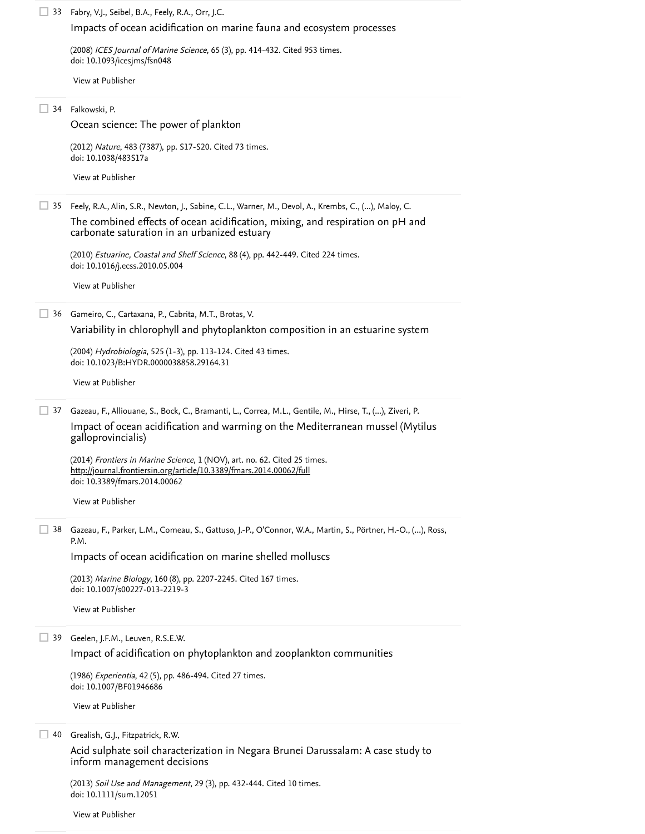Fabry, V.J., Seibel, B.A., Feely, R.A., Orr, J.C. 33

### [Impacts of ocean acidification on marine fauna and ecosystem processes](https://www.scopus.com/record/display.uri?eid=2-s2.0-44649106921&origin=reflist&sort=plf-f&src=s&st1=Spatio-temporal+variation+in+phytoplankton+communities+along+a+salinity+and+pH+gradient+in+a+tropical+estuary&st2=&sid=63391634d9060a0a641bd490f9d41980&sot=b&sdt=b&sl=124&s=TITLE-ABS-KEY%28Spatio-temporal+variation+in+phytoplankton+communities+along+a+salinity+and+pH+gradient+in+a+tropical+estuary%29&recordRank=)

(2008) *ICES Journal of Marine Science*, 65 (3), pp. 414-432. [Cited 953 times](https://www.scopus.com/search/submit/citedby.uri?eid=2-s2.0-85028356158&refeid=2-s2.0-44649106921&src=s&origin=reflist&refstat=core). doi: 10.1093/icesjms/fsn048

[View at Publisher](https://www.scopus.com/redirect/linking.uri?targetURL=https%3a%2f%2fdoi.org%2f10.1093%2ficesjms%2ffsn048&locationID=3&categoryID=4&eid=2-s2.0-44649106921&issn=10543139&linkType=ViewAtPublisher&year=2008&origin=reflist&dig=14d3044eab87653cc5984f243f7b0cda&recordRank=)

#### Falkowski, P. 34

[Ocean science: The power of plankton](https://www.scopus.com/record/display.uri?eid=2-s2.0-84857752001&origin=reflist&sort=plf-f&src=s&st1=Spatio-temporal+variation+in+phytoplankton+communities+along+a+salinity+and+pH+gradient+in+a+tropical+estuary&st2=&sid=63391634d9060a0a641bd490f9d41980&sot=b&sdt=b&sl=124&s=TITLE-ABS-KEY%28Spatio-temporal+variation+in+phytoplankton+communities+along+a+salinity+and+pH+gradient+in+a+tropical+estuary%29&recordRank=)

(2012) *Nature*, 483 (7387), pp. S17-S20. [Cited 73 times](https://www.scopus.com/search/submit/citedby.uri?eid=2-s2.0-85028356158&refeid=2-s2.0-84857752001&src=s&origin=reflist&refstat=core). doi: 10.1038/483S17a

[View at Publisher](https://www.scopus.com/redirect/linking.uri?targetURL=https%3a%2f%2fdoi.org%2f10.1038%2f483S17a&locationID=3&categoryID=4&eid=2-s2.0-84857752001&issn=00280836&linkType=ViewAtPublisher&year=2012&origin=reflist&dig=b7454639b364079af729848d68e5f9e8&recordRank=)

Feely, R.A., Alin, S.R., Newton, J., Sabine, C.L., Warner, M., Devol, A., Krembs, C., (...), Maloy, C. 35

[The combined effects of ocean acidification, mixing, and respiration on pH and](https://www.scopus.com/record/display.uri?eid=2-s2.0-77954142445&origin=reflist&sort=plf-f&src=s&st1=Spatio-temporal+variation+in+phytoplankton+communities+along+a+salinity+and+pH+gradient+in+a+tropical+estuary&st2=&sid=63391634d9060a0a641bd490f9d41980&sot=b&sdt=b&sl=124&s=TITLE-ABS-KEY%28Spatio-temporal+variation+in+phytoplankton+communities+along+a+salinity+and+pH+gradient+in+a+tropical+estuary%29&recordRank=) carbonate saturation in an urbanized estuary

(2010) *Estuarine, Coastal and Shelf Science*, 88 (4), pp. 442-449. [Cited 224 times](https://www.scopus.com/search/submit/citedby.uri?eid=2-s2.0-85028356158&refeid=2-s2.0-77954142445&src=s&origin=reflist&refstat=core).<br>doi: 10.1016/j.ecss.2010.05.004<br>[View at Publisher](https://www.scopus.com/redirect/linking.uri?targetURL=https%3a%2f%2fdoi.org%2f10.1016%2fj.ecss.2010.05.004&locationID=3&categoryID=4&eid=2-s2.0-77954142445&issn=02727714&linkType=ViewAtPublisher&year=2010&origin=reflist&dig=44bf5cc3746843e0491f3f3a393a58b1&recordRank=) doi: 10.1016/j.ecss.2010.05.004

Gameiro, C., Cartaxana, P., Cabrita, M.T., Brotas, V. 36

[Variability in chlorophyll and phytoplankton composition in an](https://www.scopus.com/record/display.uri?eid=2-s2.0-6944244532&origin=reflist&sort=plf-f&src=s&st1=Spatio-temporal+variation+in+phytoplankton+communities+along+a+salinity+and+pH+gradient+in+a+tropical+estuary&st2=&sid=63391634d9060a0a641bd490f9d41980&sot=b&sdt=b&sl=124&s=TITLE-ABS-KEY%28Spatio-temporal+variation+in+phytoplankton+communities+along+a+salinity+and+pH+gradient+in+a+tropical+estuary%29&recordRank=) estuarine system

(2004) *Hydrobiologia*, 525 (1-3), pp. 113-124. [Cited 43 times](https://www.scopus.com/search/submit/citedby.uri?eid=2-s2.0-85028356158&refeid=2-s2.0-6944244532&src=s&origin=reflist&refstat=core). doi: 10.1023/B:HYDR.0000038858.29164.31

[View at Publisher](https://www.scopus.com/redirect/linking.uri?targetURL=https%3a%2f%2fdoi.org%2f10.1023%2fB%3aHYDR.0000038858.29164.31&locationID=3&categoryID=4&eid=2-s2.0-6944244532&issn=00188158&linkType=ViewAtPublisher&year=2004&origin=reflist&dig=d28a4858c49b6caca054769abddf5ed3&recordRank=)

Gazeau, F., Alliouane, S., Bock, C., Bramanti, L., Correa, M.L., Gentile, M., Hirse, T., (...), Ziveri, P. 37

[Impact of ocean acidification and warming on the Mediterranean mussel \(Mytilus](https://www.scopus.com/record/display.uri?eid=2-s2.0-85008956985&origin=reflist&sort=plf-f&src=s&st1=Spatio-temporal+variation+in+phytoplankton+communities+along+a+salinity+and+pH+gradient+in+a+tropical+estuary&st2=&sid=63391634d9060a0a641bd490f9d41980&sot=b&sdt=b&sl=124&s=TITLE-ABS-KEY%28Spatio-temporal+variation+in+phytoplankton+communities+along+a+salinity+and+pH+gradient+in+a+tropical+estuary%29&recordRank=) galloprovincialis)

(2014) *Frontiers in Marine Science*, 1 (NOV), art. no. 62. [Cited 25 times](https://www.scopus.com/search/submit/citedby.uri?eid=2-s2.0-85028356158&refeid=2-s2.0-85008956985&src=s&origin=reflist&refstat=core). doi: 10.3389/fmars.2014.00062 <http://journal.frontiersin.org/article/10.3389/fmars.2014.00062/full>

[View at Publisher](https://www.scopus.com/redirect/linking.uri?targetURL=https%3a%2f%2fdoi.org%2f10.3389%2ffmars.2014.00062&locationID=3&categoryID=4&eid=2-s2.0-85008956985&issn=22967745&linkType=ViewAtPublisher&year=2014&origin=reflist&dig=9cc672a46b1da5ab37d9c3ea011ed5dd&recordRank=)

Gazeau, F., Parker, L.M., Comeau, S., Gattuso, J.-P., O'Connor, W.A., Martin, S., Pörtner, H.-O., (...), Ross, 38 P.M.

[Impacts of ocean acidification on marine shelled molluscs](https://www.scopus.com/record/display.uri?eid=2-s2.0-84881250523&origin=reflist&sort=plf-f&src=s&st1=Spatio-temporal+variation+in+phytoplankton+communities+along+a+salinity+and+pH+gradient+in+a+tropical+estuary&st2=&sid=63391634d9060a0a641bd490f9d41980&sot=b&sdt=b&sl=124&s=TITLE-ABS-KEY%28Spatio-temporal+variation+in+phytoplankton+communities+along+a+salinity+and+pH+gradient+in+a+tropical+estuary%29&recordRank=)

(2013) *Marine Biology*, 160 (8), pp. 2207-2245. [Cited 167 times](https://www.scopus.com/search/submit/citedby.uri?eid=2-s2.0-85028356158&refeid=2-s2.0-84881250523&src=s&origin=reflist&refstat=core). doi: 10.1007/s00227-013-2219-3

[View at Publisher](https://www.scopus.com/redirect/linking.uri?targetURL=https%3a%2f%2fdoi.org%2f10.1007%2fs00227-013-2219-3&locationID=3&categoryID=4&eid=2-s2.0-84881250523&issn=00253162&linkType=ViewAtPublisher&year=2013&origin=reflist&dig=ec9a6444739a26c91cc73f0003e362e8&recordRank=)

39 Geelen, J.F.M., Leuven, R.S.E.W.

[Impact of acidification on phytoplankton and zooplankton communities](https://www.scopus.com/record/display.uri?eid=2-s2.0-0022508351&origin=reflist&sort=plf-f&src=s&st1=Spatio-temporal+variation+in+phytoplankton+communities+along+a+salinity+and+pH+gradient+in+a+tropical+estuary&st2=&sid=63391634d9060a0a641bd490f9d41980&sot=b&sdt=b&sl=124&s=TITLE-ABS-KEY%28Spatio-temporal+variation+in+phytoplankton+communities+along+a+salinity+and+pH+gradient+in+a+tropical+estuary%29&recordRank=)

(1986) *Experientia*, 42 (5), pp. 486-494. [Cited 27 times](https://www.scopus.com/search/submit/citedby.uri?eid=2-s2.0-85028356158&refeid=2-s2.0-0022508351&src=s&origin=reflist&refstat=core). doi: 10.1007/BF01946686

[View at Publisher](https://www.scopus.com/redirect/linking.uri?targetURL=https%3a%2f%2fdoi.org%2f10.1007%2fBF01946686&locationID=3&categoryID=4&eid=2-s2.0-0022508351&issn=00144754&linkType=ViewAtPublisher&year=1986&origin=reflist&dig=7f5fc2e32e9b91565d5b5ebe9c0b4c4e&recordRank=)

40 Grealish, G.J., Fitzpatrick, R.W.

[Acid sulphate soil characterization in Negara Brunei Darussalam: A case study to](https://www.scopus.com/record/display.uri?eid=2-s2.0-84884204413&origin=reflist&sort=plf-f&src=s&st1=Spatio-temporal+variation+in+phytoplankton+communities+along+a+salinity+and+pH+gradient+in+a+tropical+estuary&st2=&sid=63391634d9060a0a641bd490f9d41980&sot=b&sdt=b&sl=124&s=TITLE-ABS-KEY%28Spatio-temporal+variation+in+phytoplankton+communities+along+a+salinity+and+pH+gradient+in+a+tropical+estuary%29&recordRank=) inform management decisions

(2013) *Soil Use and Management*, 29 (3), pp. 432-444. [Cited 10 times](https://www.scopus.com/search/submit/citedby.uri?eid=2-s2.0-85028356158&refeid=2-s2.0-84884204413&src=s&origin=reflist&refstat=core). doi: 10.1111/sum.12051

[View at Publisher](https://www.scopus.com/redirect/linking.uri?targetURL=https%3a%2f%2fdoi.org%2f10.1111%2fsum.12051&locationID=3&categoryID=4&eid=2-s2.0-84884204413&issn=02660032&linkType=ViewAtPublisher&year=2013&origin=reflist&dig=653d0d1405100b487bf0bb0ef01b5f26&recordRank=)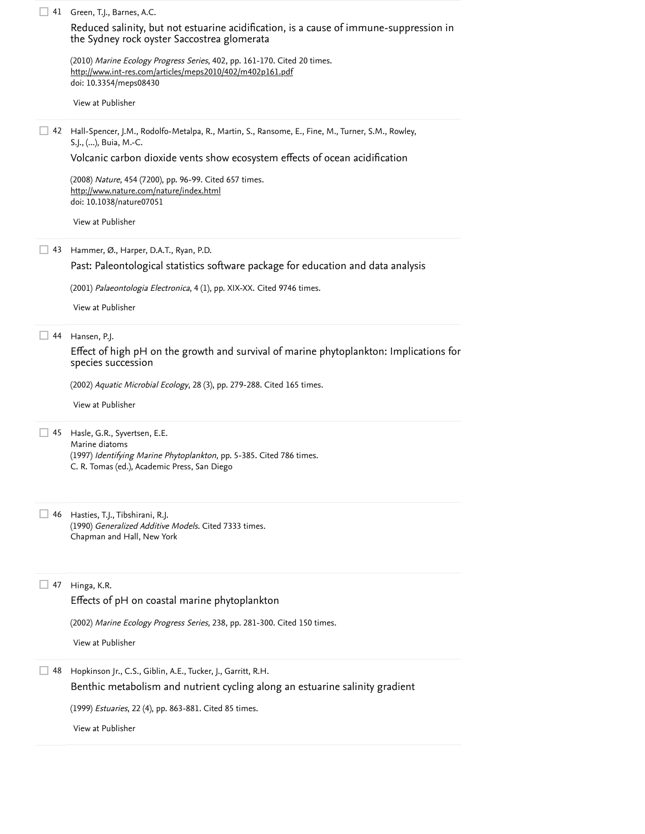| 41 | Green, T.J., Barnes, A.C.                                                                                                                                       |
|----|-----------------------------------------------------------------------------------------------------------------------------------------------------------------|
|    | Reduced salinity, but not estuarine acidification, is a cause of immune-suppression in<br>the Sydney rock oyster Saccostrea glomerata                           |
|    | (2010) Marine Ecology Progress Series, 402, pp. 161-170. Cited 20 times.<br>http://www.int-res.com/articles/meps2010/402/m402p161.pdf<br>doi: 10.3354/meps08430 |
|    | View at Publisher                                                                                                                                               |
| 42 | Hall-Spencer, J.M., Rodolfo-Metalpa, R., Martin, S., Ransome, E., Fine, M., Turner, S.M., Rowley,<br>S.J., (), Buia, M.-C.                                      |
|    | Volcanic carbon dioxide vents show ecosystem effects of ocean acidification                                                                                     |
|    | (2008) Nature, 454 (7200), pp. 96-99. Cited 657 times.<br>http://www.nature.com/nature/index.html<br>doi: 10.1038/nature07051                                   |
|    | View at Publisher                                                                                                                                               |
| 43 | Hammer, Ø., Harper, D.A.T., Ryan, P.D.                                                                                                                          |
|    | Past: Paleontological statistics software package for education and data analysis                                                                               |
|    | (2001) Palaeontologia Electronica, 4 (1), pp. XIX-XX. Cited 9746 times.                                                                                         |
|    | View at Publisher                                                                                                                                               |
| 44 | Hansen, P.J.                                                                                                                                                    |
|    | Effect of high pH on the growth and survival of marine phytoplankton: Implications for<br>species succession                                                    |
|    | (2002) Aquatic Microbial Ecology, 28 (3), pp. 279-288. Cited 165 times.                                                                                         |
|    | View at Publisher                                                                                                                                               |
| 45 | Hasle, G.R., Syvertsen, E.E.                                                                                                                                    |
|    | Marine diatoms<br>(1997) Identifying Marine Phytoplankton, pp. 5-385. Cited 786 times.<br>C. R. Tomas (ed.), Academic Press, San Diego                          |
| 46 | Hasties, T.J., Tibshirani, R.J.                                                                                                                                 |
|    | (1990) Generalized Additive Models. Cited 7333 times.<br>Chapman and Hall, New York                                                                             |
| 47 | Hinga, K.R.                                                                                                                                                     |
|    | Effects of pH on coastal marine phytoplankton                                                                                                                   |
|    | (2002) Marine Ecology Progress Series, 238, pp. 281-300. Cited 150 times.                                                                                       |
|    | View at Publisher                                                                                                                                               |
| 48 | Hopkinson Jr., C.S., Giblin, A.E., Tucker, J., Garritt, R.H.                                                                                                    |
|    | Benthic metabolism and nutrient cycling along an estuarine salinity gradient                                                                                    |
|    | (1999) <i>Estuaries</i> , 22 (4), pp. 863-881. Cited 85 times.                                                                                                  |
|    | View at Publisher                                                                                                                                               |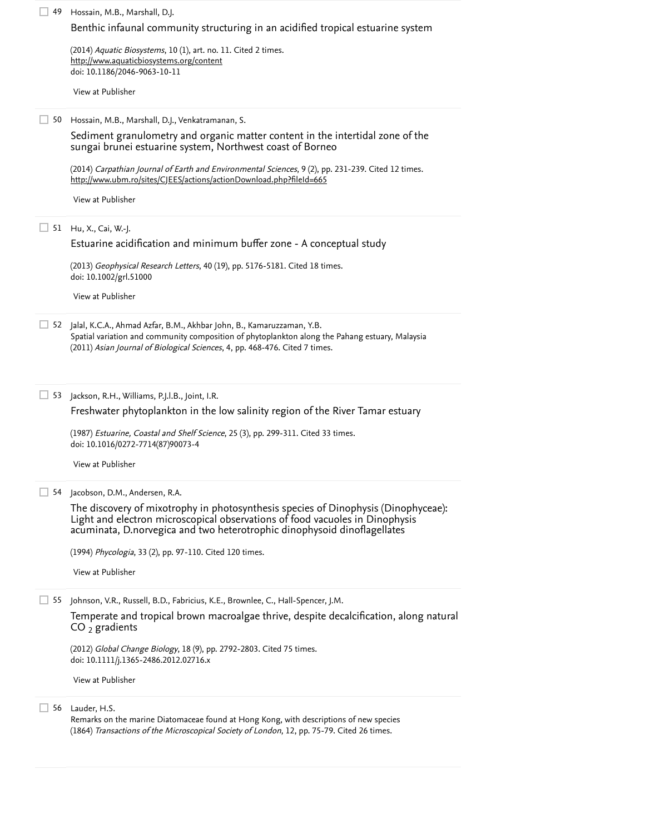| 49 | Hossain, M.B., Marshall, D.J.                                                                                                                                                                                                                  |
|----|------------------------------------------------------------------------------------------------------------------------------------------------------------------------------------------------------------------------------------------------|
|    | Benthic infaunal community structuring in an acidified tropical estuarine system                                                                                                                                                               |
|    | (2014) Aquatic Biosystems, 10 (1), art. no. 11. Cited 2 times.                                                                                                                                                                                 |
|    | http://www.aquaticbiosystems.org/content<br>doi: 10.1186/2046-9063-10-11                                                                                                                                                                       |
|    | View at Publisher                                                                                                                                                                                                                              |
|    |                                                                                                                                                                                                                                                |
|    | 50 Hossain, M.B., Marshall, D.J., Venkatramanan, S.                                                                                                                                                                                            |
|    | Sediment granulometry and organic matter content in the intertidal zone of the<br>sungai brunei estuarine system, Northwest coast of Borneo                                                                                                    |
|    | (2014) Carpathian Journal of Earth and Environmental Sciences, 9 (2), pp. 231-239. Cited 12 times.<br>http://www.ubm.ro/sites/CJEES/actions/actionDownload.php?fileId=665                                                                      |
|    | View at Publisher                                                                                                                                                                                                                              |
|    |                                                                                                                                                                                                                                                |
|    | 51 Hu, X., Cai, W.-J.<br>Estuarine acidification and minimum buffer zone - A conceptual study                                                                                                                                                  |
|    |                                                                                                                                                                                                                                                |
|    | (2013) Geophysical Research Letters, 40 (19), pp. 5176-5181. Cited 18 times.<br>doi: 10.1002/grl.51000                                                                                                                                         |
|    | View at Publisher                                                                                                                                                                                                                              |
|    | 52 Jalal, K.C.A., Ahmad Azfar, B.M., Akhbar John, B., Kamaruzzaman, Y.B.<br>Spatial variation and community composition of phytoplankton along the Pahang estuary, Malaysia                                                                    |
|    | (2011) Asian Journal of Biological Sciences, 4, pp. 468-476. Cited 7 times.                                                                                                                                                                    |
|    |                                                                                                                                                                                                                                                |
| 53 | Jackson, R.H., Williams, P.J.I.B., Joint, I.R.                                                                                                                                                                                                 |
|    | Freshwater phytoplankton in the low salinity region of the River Tamar estuary                                                                                                                                                                 |
|    | (1987) Estuarine, Coastal and Shelf Science, 25 (3), pp. 299-311. Cited 33 times.<br>doi: 10.1016/0272-7714(87)90073-4                                                                                                                         |
|    | View at Publisher                                                                                                                                                                                                                              |
|    | 54 Jacobson, D.M., Andersen, R.A.                                                                                                                                                                                                              |
|    | The discovery of mixotrophy in photosynthesis species of Dinophysis (Dinophyceae):<br>Light and electron microscopical observations of food vacuoles in Dinophysis<br>acuminata, D.norvegica and two heterotrophic dinophysoid dinoflagellates |
|    | (1994) Phycologia, 33 (2), pp. 97-110. Cited 120 times.                                                                                                                                                                                        |
|    | View at Publisher                                                                                                                                                                                                                              |
| 55 | Johnson, V.R., Russell, B.D., Fabricius, K.E., Brownlee, C., Hall-Spencer, J.M.                                                                                                                                                                |
|    | Temperate and tropical brown macroalgae thrive, despite decalcification, along natural<br>$CO2$ gradients                                                                                                                                      |
|    | (2012) Global Change Biology, 18 (9), pp. 2792-2803. Cited 75 times.<br>doi: 10.1111/j.1365-2486.2012.02716.x                                                                                                                                  |
|    | View at Publisher                                                                                                                                                                                                                              |
|    | 56 Lauder, H.S.                                                                                                                                                                                                                                |
|    | Remarks on the marine Diatomaceae found at Hong Kong, with descriptions of new species<br>(1864) Transactions of the Microscopical Society of London, 12, pp. 75-79. Cited 26 times.                                                           |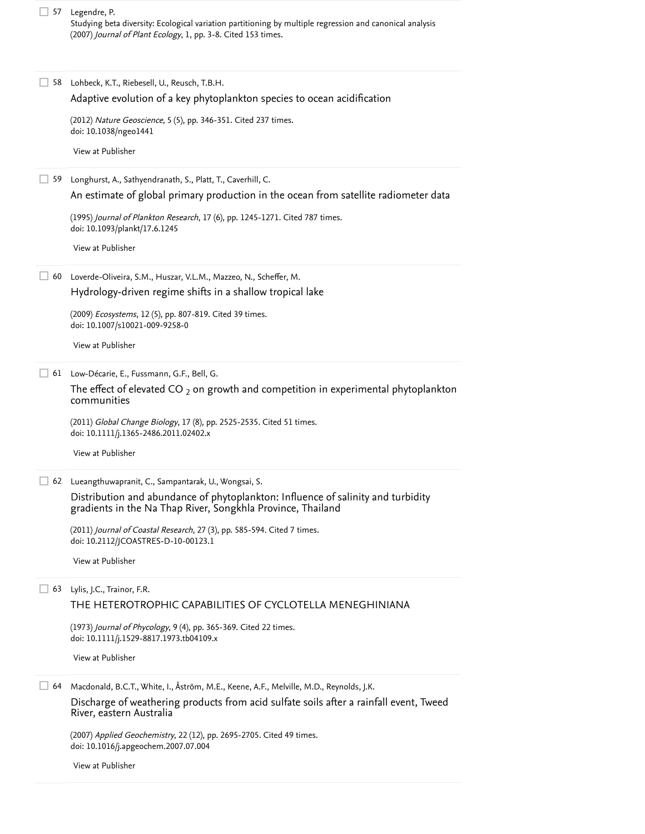Legendre, P. 57 Studying beta diversity: Ecological variation partitioning by multiple regression and canonical analysis (2007) *Journal of Plant Ecology*, 1, pp. 3-8. [Cited 153 times](https://www.scopus.com/search/submit/citedby.uri?eid=2-s2.0-85028356158&refeid=2-s2.0-54149105103&src=s&origin=reflist&refstat=dummy).

Lohbeck, K.T., Riebesell, U., Reusch, T.B.H. 58 (2012) *Nature Geoscience*, 5 (5), pp. 346-351. [Cited 237 times](https://www.scopus.com/search/submit/citedby.uri?eid=2-s2.0-85028356158&refeid=2-s2.0-84860455660&src=s&origin=reflist&refstat=core). doi: 10.1038/ngeo1441 Longhurst, A., Sathyendranath, S., Platt, T., Caverhill, C. 59 (1995) *Journal of Plankton Research*, 17 (6), pp. 1245-1271. [Cited 787 times](https://www.scopus.com/search/submit/citedby.uri?eid=2-s2.0-85028356158&refeid=2-s2.0-0028981011&src=s&origin=reflist&refstat=core). doi: 10.1093/plankt/17.6.1245 Loverde-Oliveira, S.M., Huszar, V.L.M., Mazzeo, N., Scheffer, M. 60 (2009) *Ecosystems*, 12 (5), pp. 807-819. [Cited 39 times](https://www.scopus.com/search/submit/citedby.uri?eid=2-s2.0-85028356158&refeid=2-s2.0-68149161199&src=s&origin=reflist&refstat=core). doi: 10.1007/s10021-009-9258-0 Low-Décarie, E., Fussmann, G.F., Bell, G. 61 (2011) *Global Change Biology*, 17 (8), pp. 2525-2535. [Cited 51 times](https://www.scopus.com/search/submit/citedby.uri?eid=2-s2.0-85028356158&refeid=2-s2.0-79959970497&src=s&origin=reflist&refstat=core). doi: 10.1111/j.1365-2486.2011.02402.x 62 Lueangthuwapranit, C., Sampantarak, U., Wongsai, S. (2011) *Journal of Coastal Research*, 27 (3), pp. 585-594. [Cited 7 times](https://www.scopus.com/search/submit/citedby.uri?eid=2-s2.0-85028356158&refeid=2-s2.0-79956018485&src=s&origin=reflist&refstat=core). doi: 10.2112/JCOASTRES-D-10-00123.1 Lylis, J.C., Trainor, F.R. 63 [Adaptive evolution of a key phytoplankton species to ocean acidification](https://www.scopus.com/record/display.uri?eid=2-s2.0-84860455660&origin=reflist&sort=plf-f&src=s&st1=Spatio-temporal+variation+in+phytoplankton+communities+along+a+salinity+and+pH+gradient+in+a+tropical+estuary&st2=&sid=63391634d9060a0a641bd490f9d41980&sot=b&sdt=b&sl=124&s=TITLE-ABS-KEY%28Spatio-temporal+variation+in+phytoplankton+communities+along+a+salinity+and+pH+gradient+in+a+tropical+estuary%29&recordRank=) [View at Publisher](https://www.scopus.com/redirect/linking.uri?targetURL=https%3a%2f%2fdoi.org%2f10.1038%2fngeo1441&locationID=3&categoryID=4&eid=2-s2.0-84860455660&issn=17520894&linkType=ViewAtPublisher&year=2012&origin=reflist&dig=70583ca53f5c14470cc138f94217bb4e&recordRank=) [An estimate of global primary production in the ocean from satellite radiometer data](https://www.scopus.com/record/display.uri?eid=2-s2.0-0028981011&origin=reflist&sort=plf-f&src=s&st1=Spatio-temporal+variation+in+phytoplankton+communities+along+a+salinity+and+pH+gradient+in+a+tropical+estuary&st2=&sid=63391634d9060a0a641bd490f9d41980&sot=b&sdt=b&sl=124&s=TITLE-ABS-KEY%28Spatio-temporal+variation+in+phytoplankton+communities+along+a+salinity+and+pH+gradient+in+a+tropical+estuary%29&recordRank=) [View at Publisher](https://www.scopus.com/redirect/linking.uri?targetURL=https%3a%2f%2fdoi.org%2f10.1093%2fplankt%2f17.6.1245&locationID=3&categoryID=4&eid=2-s2.0-0028981011&issn=01427873&linkType=ViewAtPublisher&year=1995&origin=reflist&dig=f3bfe063543ab45ddd93931d76a7f5a8&recordRank=) [Hydrology-driven regime shifts in a shallow tropical lake](https://www.scopus.com/record/display.uri?eid=2-s2.0-68149161199&origin=reflist&sort=plf-f&src=s&st1=Spatio-temporal+variation+in+phytoplankton+communities+along+a+salinity+and+pH+gradient+in+a+tropical+estuary&st2=&sid=63391634d9060a0a641bd490f9d41980&sot=b&sdt=b&sl=124&s=TITLE-ABS-KEY%28Spatio-temporal+variation+in+phytoplankton+communities+along+a+salinity+and+pH+gradient+in+a+tropical+estuary%29&recordRank=) [View at Publisher](https://www.scopus.com/redirect/linking.uri?targetURL=https%3a%2f%2fdoi.org%2f10.1007%2fs10021-009-9258-0&locationID=3&categoryID=4&eid=2-s2.0-68149161199&issn=14329840&linkType=ViewAtPublisher&year=2009&origin=reflist&dig=d62a8810937f54f84d809eed861d74fe&recordRank=) The effect of elevated CO  $_2$  on growth and competition in experimental phytoplankton  $\,$ communities [View at Publisher](https://www.scopus.com/redirect/linking.uri?targetURL=https%3a%2f%2fdoi.org%2f10.1111%2fj.1365-2486.2011.02402.x&locationID=3&categoryID=4&eid=2-s2.0-79959970497&issn=13541013&linkType=ViewAtPublisher&year=2011&origin=reflist&dig=3998372881aa5c974adad1168d1112f0&recordRank=) [Distribution and abundance of phytoplankton: Influence of salinity and turbidity](https://www.scopus.com/record/display.uri?eid=2-s2.0-79956018485&origin=reflist&sort=plf-f&src=s&st1=Spatio-temporal+variation+in+phytoplankton+communities+along+a+salinity+and+pH+gradient+in+a+tropical+estuary&st2=&sid=63391634d9060a0a641bd490f9d41980&sot=b&sdt=b&sl=124&s=TITLE-ABS-KEY%28Spatio-temporal+variation+in+phytoplankton+communities+along+a+salinity+and+pH+gradient+in+a+tropical+estuary%29&recordRank=) gradients in the Na Thap River, Songkhla Province, Thailand [View at Publisher](https://www.scopus.com/redirect/linking.uri?targetURL=https%3a%2f%2fdoi.org%2f10.2112%2fJCOASTRES-D-10-00123.1&locationID=3&categoryID=4&eid=2-s2.0-79956018485&issn=07490208&linkType=ViewAtPublisher&year=2011&origin=reflist&dig=e6dae15bec0953fc20fd229e798cbab3&recordRank=) [THE HETEROTROPHIC CAPABILITIES OF CYCLOTELLA MENEGHINIANA](https://www.scopus.com/record/display.uri?eid=2-s2.0-84980200245&origin=reflist&sort=plf-f&src=s&st1=Spatio-temporal+variation+in+phytoplankton+communities+along+a+salinity+and+pH+gradient+in+a+tropical+estuary&st2=&sid=63391634d9060a0a641bd490f9d41980&sot=b&sdt=b&sl=124&s=TITLE-ABS-KEY%28Spatio-temporal+variation+in+phytoplankton+communities+along+a+salinity+and+pH+gradient+in+a+tropical+estuary%29&recordRank=)

(1973) *Journal of Phycology*, 9 (4), pp. 365-369. [Cited 22 times](https://www.scopus.com/search/submit/citedby.uri?eid=2-s2.0-85028356158&refeid=2-s2.0-84980200245&src=s&origin=reflist&refstat=core). doi: 10.1111/j.1529-8817.1973.tb04109.x

[View at Publisher](https://www.scopus.com/redirect/linking.uri?targetURL=https%3a%2f%2fdoi.org%2f10.1111%2fj.1529-8817.1973.tb04109.x&locationID=3&categoryID=4&eid=2-s2.0-84980200245&issn=15298817&linkType=ViewAtPublisher&year=1973&origin=reflist&dig=e7379a51714e10ccf795e352d025d212&recordRank=)

Macdonald, B.C.T., White, I., Åström, M.E., Keene, A.F., Melville, M.D., Reynolds, J.K. 64

[Discharge of weathering products from acid sulfate soils after a rainfall event, Tweed](https://www.scopus.com/record/display.uri?eid=2-s2.0-36148985636&origin=reflist&sort=plf-f&src=s&st1=Spatio-temporal+variation+in+phytoplankton+communities+along+a+salinity+and+pH+gradient+in+a+tropical+estuary&st2=&sid=63391634d9060a0a641bd490f9d41980&sot=b&sdt=b&sl=124&s=TITLE-ABS-KEY%28Spatio-temporal+variation+in+phytoplankton+communities+along+a+salinity+and+pH+gradient+in+a+tropical+estuary%29&recordRank=) River, eastern Australia

(2007) *Applied Geochemistry*, 22 (12), pp. 2695-2705. [Cited 49 times](https://www.scopus.com/search/submit/citedby.uri?eid=2-s2.0-85028356158&refeid=2-s2.0-36148985636&src=s&origin=reflist&refstat=core). doi: 10.1016/j.apgeochem.2007.07.004

[View at Publisher](https://www.scopus.com/redirect/linking.uri?targetURL=https%3a%2f%2fdoi.org%2f10.1016%2fj.apgeochem.2007.07.004&locationID=3&categoryID=4&eid=2-s2.0-36148985636&issn=08832927&linkType=ViewAtPublisher&year=2007&origin=reflist&dig=00c00f919116fe3344054110902e4918&recordRank=)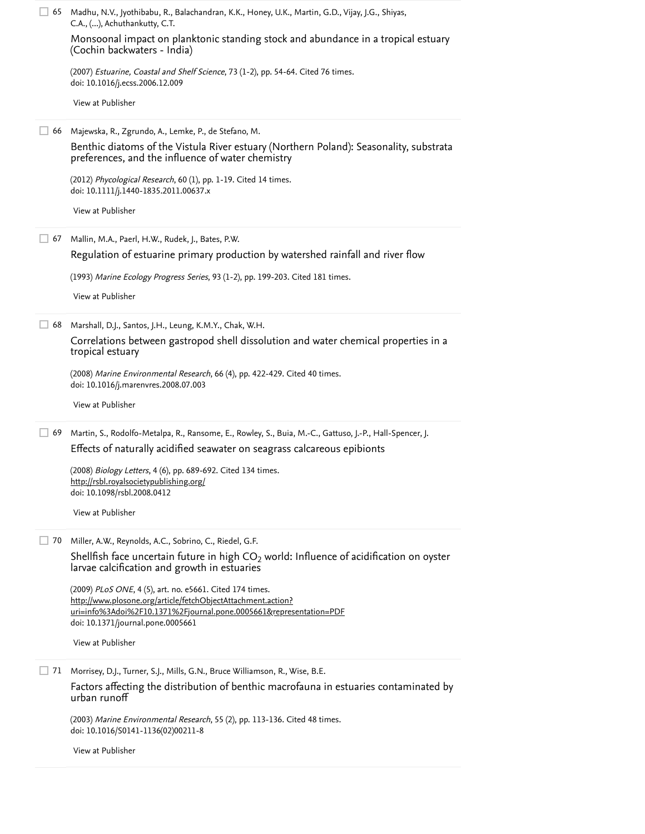|    | 65 Madhu, N.V., Jyothibabu, R., Balachandran, K.K., Honey, U.K., Martin, G.D., Vijay, J.G., Shiyas,<br>C.A., (), Achuthankutty, C.T.                                    |  |
|----|-------------------------------------------------------------------------------------------------------------------------------------------------------------------------|--|
|    | Monsoonal impact on planktonic standing stock and abundance in a tropical estuary<br>(Cochin backwaters - India)                                                        |  |
|    | (2007) Estuarine, Coastal and Shelf Science, 73 (1-2), pp. 54-64. Cited 76 times.<br>doi: 10.1016/j.ecss.2006.12.009                                                    |  |
|    | View at Publisher                                                                                                                                                       |  |
| 66 | Majewska, R., Zgrundo, A., Lemke, P., de Stefano, M.                                                                                                                    |  |
|    | Benthic diatoms of the Vistula River estuary (Northern Poland): Seasonality, substrata<br>preferences, and the influence of water chemistry                             |  |
|    | (2012) Phycological Research, 60 (1), pp. 1-19. Cited 14 times.<br>doi: 10.1111/j.1440-1835.2011.00637.x                                                                |  |
|    | View at Publisher                                                                                                                                                       |  |
| 67 | Mallin, M.A., Paerl, H.W., Rudek, J., Bates, P.W.                                                                                                                       |  |
|    | Regulation of estuarine primary production by watershed rainfall and river flow                                                                                         |  |
|    | (1993) Marine Ecology Progress Series, 93 (1-2), pp. 199-203. Cited 181 times.                                                                                          |  |
|    | View at Publisher                                                                                                                                                       |  |
| 68 | Marshall, D.J., Santos, J.H., Leung, K.M.Y., Chak, W.H.                                                                                                                 |  |
|    | Correlations between gastropod shell dissolution and water chemical properties in a<br>tropical estuary                                                                 |  |
|    | (2008) Marine Environmental Research, 66 (4), pp. 422-429. Cited 40 times.<br>doi: 10.1016/j.marenvres.2008.07.003                                                      |  |
|    | View at Publisher                                                                                                                                                       |  |
| 69 | Martin, S., Rodolfo-Metalpa, R., Ransome, E., Rowley, S., Buia, M.-C., Gattuso, J.-P., Hall-Spencer, J.                                                                 |  |
|    | Effects of naturally acidified seawater on seagrass calcareous epibionts                                                                                                |  |
|    | (2008) Biology Letters, 4 (6), pp. 689-692. Cited 134 times.<br>http://rsbl.royalsocietypublishing.org/<br>doi: 10.1098/rsbl.2008.0412                                  |  |
|    | View at Publisher                                                                                                                                                       |  |
| 70 | Miller, A.W., Reynolds, A.C., Sobrino, C., Riedel, G.F.                                                                                                                 |  |
|    | Shellfish face uncertain future in high $CO2$ world: Influence of acidification on oyster<br>larvae calcification and growth in estuaries                               |  |
|    | (2009) PLoS ONE, 4 (5), art. no. e5661. Cited 174 times.                                                                                                                |  |
|    | http://www.plosone.org/article/fetchObjectAttachment.action?<br>uri=info%3Adoi%2F10.1371%2Fjournal.pone.0005661&representation=PDF<br>doi: 10.1371/journal.pone.0005661 |  |
|    | View at Publisher                                                                                                                                                       |  |
| 71 | Morrisey, D.J., Turner, S.J., Mills, G.N., Bruce Williamson, R., Wise, B.E.                                                                                             |  |
|    | Factors affecting the distribution of benthic macrofauna in estuaries contaminated by<br>urban runoff                                                                   |  |
|    | (2003) Marine Environmental Research, 55 (2), pp. 113-136. Cited 48 times.<br>doi: 10.1016/S0141-1136(02)00211-8                                                        |  |
|    | View at Publisher                                                                                                                                                       |  |
|    |                                                                                                                                                                         |  |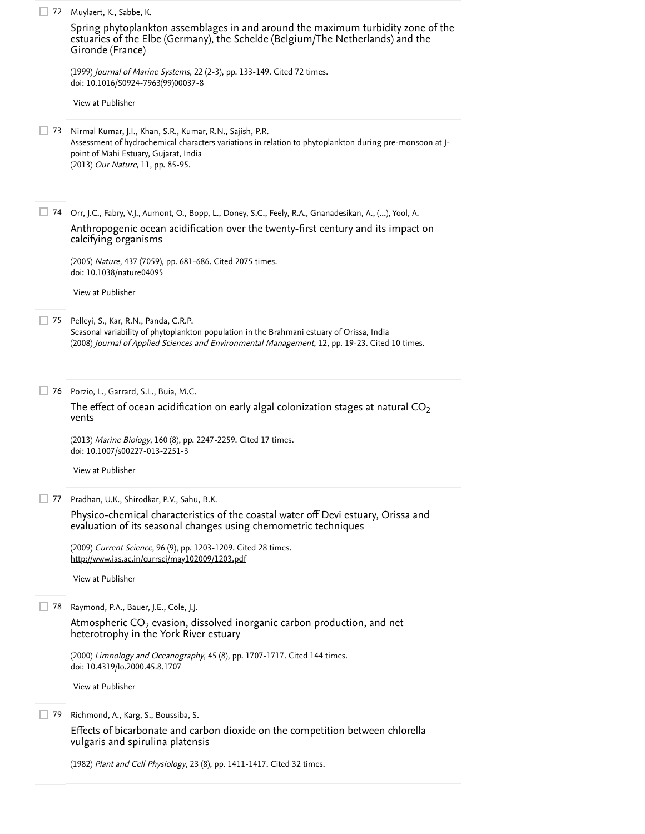| 72 | Muylaert, K., Sabbe, K.                                                                                                                                                                                                                            |
|----|----------------------------------------------------------------------------------------------------------------------------------------------------------------------------------------------------------------------------------------------------|
|    | Spring phytoplankton assemblages in and around the maximum turbidity zone of the<br>estuaries of the Elbe (Germany), the Schelde (Belgium/The Netherlands) and the<br>Gironde (France)                                                             |
|    | (1999) Journal of Marine Systems, 22 (2-3), pp. 133-149. Cited 72 times.<br>doi: 10.1016/S0924-7963(99)00037-8                                                                                                                                     |
|    | View at Publisher                                                                                                                                                                                                                                  |
| 73 | Nirmal Kumar, J.I., Khan, S.R., Kumar, R.N., Sajish, P.R.<br>Assessment of hydrochemical characters variations in relation to phytoplankton during pre-monsoon at J-<br>point of Mahi Estuary, Gujarat, India<br>(2013) Our Nature, 11, pp. 85-95. |
| 74 | Orr, J.C., Fabry, V.J., Aumont, O., Bopp, L., Doney, S.C., Feely, R.A., Gnanadesikan, A., (), Yool, A.<br>Anthropogenic ocean acidification over the twenty-first century and its impact on<br>calcifying organisms                                |
|    | (2005) Nature, 437 (7059), pp. 681-686. Cited 2075 times.<br>doi: 10.1038/nature04095                                                                                                                                                              |
|    | View at Publisher                                                                                                                                                                                                                                  |
| 75 | Pelleyi, S., Kar, R.N., Panda, C.R.P.<br>Seasonal variability of phytoplankton population in the Brahmani estuary of Orissa, India<br>(2008) Journal of Applied Sciences and Environmental Management, 12, pp. 19-23. Cited 10 times.              |
| 76 | Porzio, L., Garrard, S.L., Buia, M.C.<br>The effect of ocean acidification on early algal colonization stages at natural $CO2$<br>vents                                                                                                            |
|    | (2013) Marine Biology, 160 (8), pp. 2247-2259. Cited 17 times.<br>doi: 10.1007/s00227-013-2251-3                                                                                                                                                   |
|    | View at Publisher                                                                                                                                                                                                                                  |
| 77 | Pradhan, U.K., Shirodkar, P.V., Sahu, B.K.<br>Physico-chemical characteristics of the coastal water off Devi estuary, Orissa and                                                                                                                   |
|    | evaluation of its seasonal changes using chemometric techniques                                                                                                                                                                                    |
|    | (2009) Current Science, 96 (9), pp. 1203-1209. Cited 28 times.<br>http://www.ias.ac.in/currsci/may102009/1203.pdf                                                                                                                                  |
|    | View at Publisher                                                                                                                                                                                                                                  |
| 78 | Raymond, P.A., Bauer, J.E., Cole, J.J.                                                                                                                                                                                                             |
|    | Atmospheric $CO2$ evasion, dissolved inorganic carbon production, and net<br>heterotrophy in the York River estuary                                                                                                                                |
|    | (2000) Limnology and Oceanography, 45 (8), pp. 1707-1717. Cited 144 times.<br>doi: 10.4319/lo.2000.45.8.1707                                                                                                                                       |
|    | View at Publisher                                                                                                                                                                                                                                  |
| 79 | Richmond, A., Karg, S., Boussiba, S.<br>Effects of bicarbonate and carbon dioxide on the competition between chlorella<br>vulgaris and spirulina platensis                                                                                         |

(1982) *Plant and Cell Physiology*, 23 (8), pp. 1411-1417. [Cited 32 times](https://www.scopus.com/search/submit/citedby.uri?eid=2-s2.0-85028356158&refeid=2-s2.0-0038624671&src=s&origin=reflist&refstat=core).